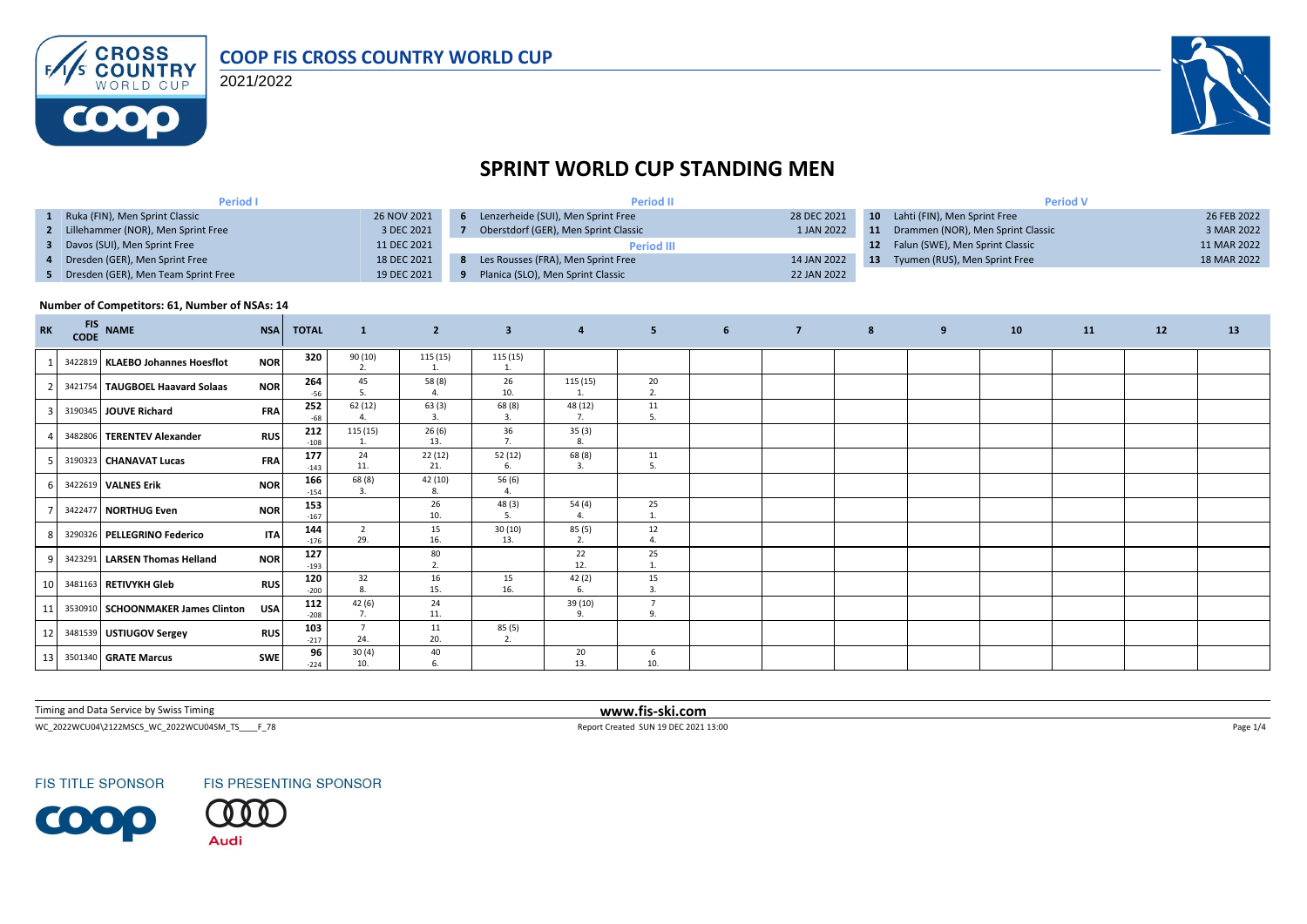

2021/2022



# **SPRINT WORLD CUP STANDING MEN**

| <b>Period I</b>                       |             | <b>Period II</b>                     |             | <b>Period V</b> |                                    |             |  |  |
|---------------------------------------|-------------|--------------------------------------|-------------|-----------------|------------------------------------|-------------|--|--|
| Ruka (FIN), Men Sprint Classic        | 26 NOV 2021 | Lenzerheide (SUI), Men Sprint Free   | 28 DEC 2021 |                 | 10 Lahti (FIN), Men Sprint Free    | 26 FEB 2022 |  |  |
| 2 Lillehammer (NOR), Men Sprint Free  | 3 DEC 2021  | Oberstdorf (GER), Men Sprint Classic | 1 JAN 2022  | 11              | Drammen (NOR), Men Sprint Classic  | 3 MAR 2022  |  |  |
| Davos (SUI), Men Sprint Free          | 11 DEC 2021 | <b>Period III</b>                    |             |                 | 12 Falun (SWE), Men Sprint Classic | 11 MAR 2022 |  |  |
| 4 Dresden (GER), Men Sprint Free      | 18 DEC 2021 | Les Rousses (FRA), Men Sprint Free   | 14 JAN 2022 | -13             | Tyumen (RUS), Men Sprint Free      | 18 MAR 2022 |  |  |
| 5 Dresden (GER), Men Team Sprint Free | 19 DEC 2021 | Planica (SLO), Men Sprint Classic    | 22 JAN 2022 |                 |                                    |             |  |  |

#### **Number of Competitors: 61, Number of NSAs: 14**

| <b>RK</b> | <b>FIS</b><br><b>CODE</b> | <b>NAME</b>                       | <b>NSA</b> | <b>TOTAL</b>  | $\mathbf{1}$             | $\overline{2}$ | $\overline{\mathbf{3}}$ | $\overline{4}$ | 5 <sup>2</sup>               | $6\overline{6}$ | $\overline{7}$ | 8 | 9 | 10 | 11 | 12 | 13 |
|-----------|---------------------------|-----------------------------------|------------|---------------|--------------------------|----------------|-------------------------|----------------|------------------------------|-----------------|----------------|---|---|----|----|----|----|
|           |                           | 3422819 KLAEBO Johannes Hoesflot  | <b>NOR</b> | 320           | 90 (10)<br>2.            | 115 (15)       | 115 (15)<br>1.          |                |                              |                 |                |   |   |    |    |    |    |
|           |                           | 3421754 TAUGBOEL Haavard Solaas   | <b>NOR</b> | 264<br>-56    | 45<br>5.                 | 58 (8)<br>4.   | 26<br>10.               | 115(15)        | 20<br>2.                     |                 |                |   |   |    |    |    |    |
|           |                           | 3190345 JOUVE Richard             | <b>FRA</b> | 252<br>$-68$  | 62(12)                   | 63(3)<br>3.    | 68 (8)<br>3.            | 48 (12)        | 11<br>5.                     |                 |                |   |   |    |    |    |    |
|           |                           | 3482806 TERENTEV Alexander        | <b>RUS</b> | 212<br>$-108$ | 115 (15)<br>1.           | 26(6)<br>13.   | 36<br>7.                | 35(3)<br>8.    |                              |                 |                |   |   |    |    |    |    |
|           |                           | 3190323 CHANAVAT Lucas            | <b>FRA</b> | 177<br>$-143$ | 24<br>11.                | 22(12)<br>21.  | 52(12)<br>6.            | 68 (8)<br>3.   | 11<br>5.                     |                 |                |   |   |    |    |    |    |
|           |                           | 3422619 VALNES Erik               | <b>NOR</b> | 166<br>$-154$ | 68 (8)<br>$\overline{3}$ | 42 (10)<br>8.  | 56 (6)                  |                |                              |                 |                |   |   |    |    |    |    |
|           |                           | 3422477 NORTHUG Even              | <b>NOR</b> | 153<br>$-167$ |                          | 26<br>10.      | 48 (3)<br>-5.           | 54(4)          | 25                           |                 |                |   |   |    |    |    |    |
|           |                           | 3290326 PELLEGRINO Federico       | <b>ITA</b> | 144<br>$-176$ | $\overline{2}$<br>29.    | 15<br>16.      | 30(10)<br>13.           | 85(5)          | 12<br>$\boldsymbol{\Lambda}$ |                 |                |   |   |    |    |    |    |
|           |                           | 3423291 LARSEN Thomas Helland     | <b>NOR</b> | 127<br>$-193$ |                          | 80<br>2.       |                         | 22<br>12.      | 25                           |                 |                |   |   |    |    |    |    |
| 10        |                           | 3481163 RETIVYKH Gleb             | <b>RUS</b> | 120<br>$-200$ | 32<br>8.                 | 16<br>15.      | 15<br>16.               | 42(2)          | 15<br>$\overline{3}$         |                 |                |   |   |    |    |    |    |
| 11        |                           | 3530910 SCHOONMAKER James Clinton | USA        | 112<br>$-208$ | 42 (6)<br>7.             | 24<br>11.      |                         | 39 (10)<br>9.  | $\overline{7}$<br>9.         |                 |                |   |   |    |    |    |    |
| 12        |                           | 3481539 USTIUGOV Sergey           | <b>RUS</b> | 103<br>$-217$ | $\overline{7}$<br>24.    | 11<br>20.      | 85 (5)<br>2.            |                |                              |                 |                |   |   |    |    |    |    |
| 13        |                           | 3501340 GRATE Marcus              | <b>SWE</b> | 96<br>$-224$  | 30(4)<br>10.             | 40<br>6.       |                         | 20<br>13.      | 6<br>10.                     |                 |                |   |   |    |    |    |    |

Timing and Data Service by Swiss Timing **www.fis-ski.com**

WC\_2022WCU04\2122MSCS\_WC\_2022WCU04SM\_TS\_\_\_\_F\_78 <br>
Report Created SUN 19 DEC 2021 13:00



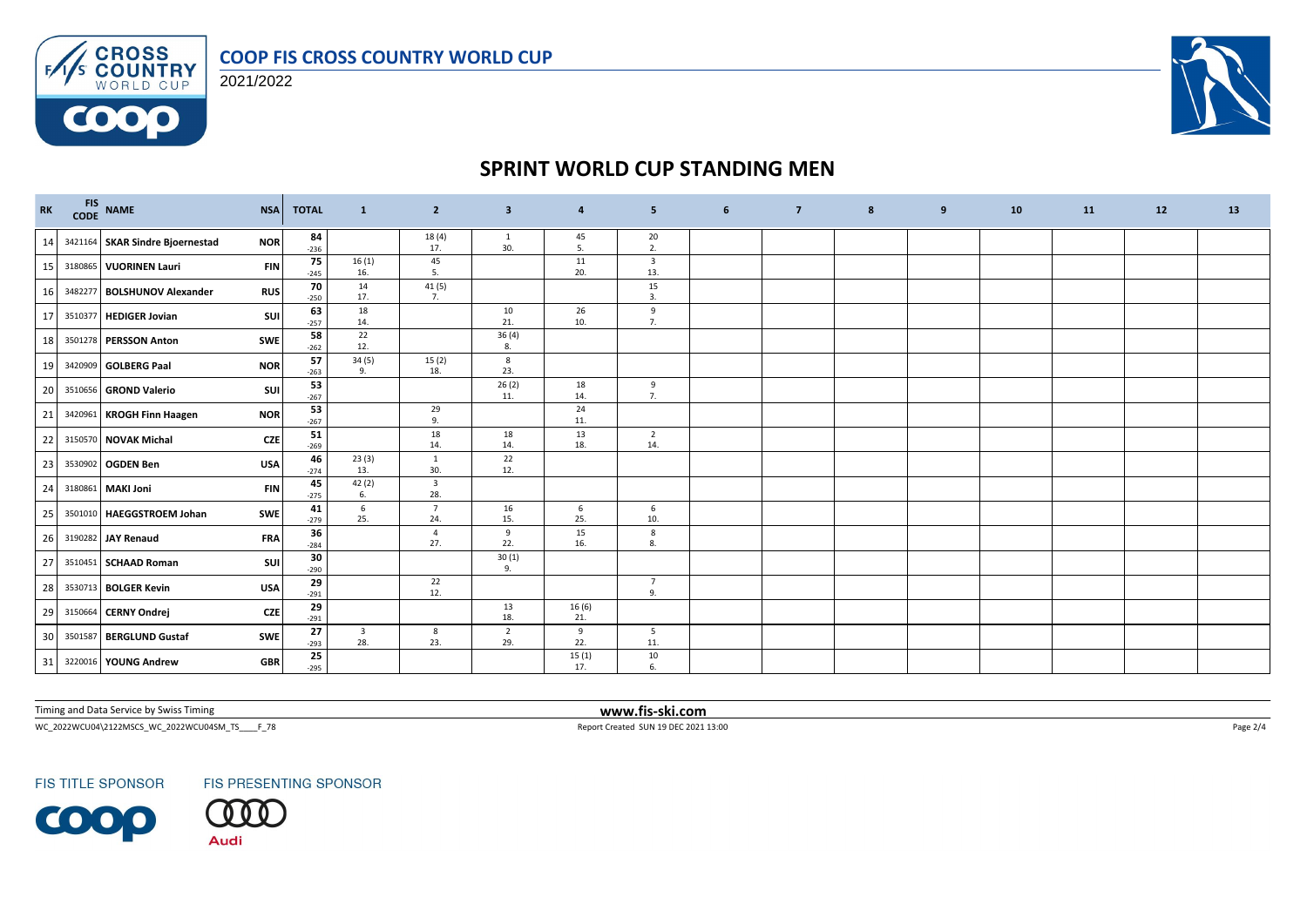

**CROSS**<br>**COUNTRY**<br>WORLD CUP 2021/2022

 $F/1/s$ 

**COOO** 



### **SPRINT WORLD CUP STANDING MEN**

| $\mathbf{R}\mathbf{K}$ |         | FIS NAME<br>CODE NAME              | <b>NSA</b> | <b>TOTAL</b> | $\mathbf{1}$                   | $\overline{2}$                 | $\overline{\mathbf{3}}$ | 4             | 5                              | 6 | $\overline{7}$ | 8 | 9 | 10 <sup>1</sup> | 11 | 12 | 13 |
|------------------------|---------|------------------------------------|------------|--------------|--------------------------------|--------------------------------|-------------------------|---------------|--------------------------------|---|----------------|---|---|-----------------|----|----|----|
|                        |         | 14 3421164 SKAR Sindre Bjoernestad | <b>NOR</b> | 84<br>$-236$ |                                | 18 (4)<br>17.                  | $\mathbf{1}$<br>30.     | 45<br>5.      | 20<br>2.                       |   |                |   |   |                 |    |    |    |
| 15                     |         | 3180865 VUORINEN Lauri             | <b>FIN</b> | 75<br>$-245$ | 16(1)<br>16.                   | 45<br>5.                       |                         | 11<br>20.     | $\overline{\mathbf{3}}$<br>13. |   |                |   |   |                 |    |    |    |
| 16                     |         | 3482277 BOLSHUNOV Alexander        | <b>RUS</b> | 70<br>$-250$ | 14<br>17.                      | 41(5)<br>7.                    |                         |               | 15<br>3.                       |   |                |   |   |                 |    |    |    |
| 17                     |         | 3510377 HEDIGER Jovian             | SUI        | 63<br>$-257$ | 18<br>14.                      |                                | 10<br>21.               | 26<br>10.     | 9<br>7.                        |   |                |   |   |                 |    |    |    |
| 18                     |         | 3501278 PERSSON Anton              | SWE        | 58<br>$-262$ | 22<br>12.                      |                                | 36(4)<br>8.             |               |                                |   |                |   |   |                 |    |    |    |
| 19                     |         | 3420909 GOLBERG Paal               | <b>NOR</b> | 57<br>$-263$ | 34(5)<br>9.                    | 15(2)<br>18.                   | 8<br>23.                |               |                                |   |                |   |   |                 |    |    |    |
| 20                     |         | 3510656 GROND Valerio              | SUI        | 53<br>$-267$ |                                |                                | 26(2)<br>11.            | 18<br>14.     | 9<br>7.                        |   |                |   |   |                 |    |    |    |
| 21                     |         | 3420961 KROGH Finn Haagen          | <b>NOR</b> | 53<br>$-267$ |                                | 29<br>9.                       |                         | 24<br>11.     |                                |   |                |   |   |                 |    |    |    |
| 22                     |         | 3150570 NOVAK Michal               | <b>CZE</b> | 51<br>$-269$ |                                | 18<br>14.                      | 18<br>14.               | 13<br>18.     | $\overline{2}$<br>14.          |   |                |   |   |                 |    |    |    |
| 23                     |         | 3530902 OGDEN Ben                  | <b>USA</b> | 46<br>$-274$ | 23(3)<br>13.                   | $\mathbf{1}$<br>30.            | 22<br>12.               |               |                                |   |                |   |   |                 |    |    |    |
| 24                     |         | 3180861 MAKI Joni                  | <b>FIN</b> | 45<br>$-275$ | 42 (2)<br>6.                   | $\overline{\mathbf{3}}$<br>28. |                         |               |                                |   |                |   |   |                 |    |    |    |
| 25                     |         | 3501010 HAEGGSTROEM Johan          | SWE        | 41<br>$-279$ | 6<br>25.                       | $\overline{7}$<br>24.          | 16<br>15.               | 6<br>25.      | 6<br>10.                       |   |                |   |   |                 |    |    |    |
| 26                     |         | 3190282 JAY Renaud                 | <b>FRA</b> | 36<br>$-284$ |                                | $\overline{4}$<br>27.          | 9<br>22.                | 15<br>16.     | 8<br>8.                        |   |                |   |   |                 |    |    |    |
| 27                     |         | 3510451 SCHAAD Roman               | SUI        | 30<br>$-290$ |                                |                                | 30(1)<br>9.             |               |                                |   |                |   |   |                 |    |    |    |
| 28                     |         | 3530713 BOLGER Kevin               | <b>USA</b> | 29<br>$-291$ |                                | 22<br>12.                      |                         |               | $\overline{7}$<br>9.           |   |                |   |   |                 |    |    |    |
| 29                     |         | 3150664 CERNY Ondrej               | <b>CZE</b> | 29<br>$-291$ |                                |                                | 13<br>18.               | 16 (6)<br>21. |                                |   |                |   |   |                 |    |    |    |
| 30 <sup>1</sup>        | 3501587 | <b>BERGLUND Gustaf</b>             | <b>SWE</b> | 27<br>$-293$ | $\overline{\mathbf{3}}$<br>28. | 8<br>23.                       | $\overline{2}$<br>29.   | 9<br>22.      | 5<br>11.                       |   |                |   |   |                 |    |    |    |
| 31                     |         | 3220016 YOUNG Andrew               | <b>GBR</b> | 25<br>$-295$ |                                |                                |                         | 15(1)<br>17.  | 10<br>6.                       |   |                |   |   |                 |    |    |    |

Timing and Data Service by Swiss Timing **www.fis-ski.com**

 $WC_2022WCU04\text{2122MSCS\_WC_2022WCU045M_T5\_F_278} \qquad \qquad \nonumber \\ \textbf{Report Created SUN 19 DEC 2021 13:00} \qquad \qquad \nonumber \\$ 



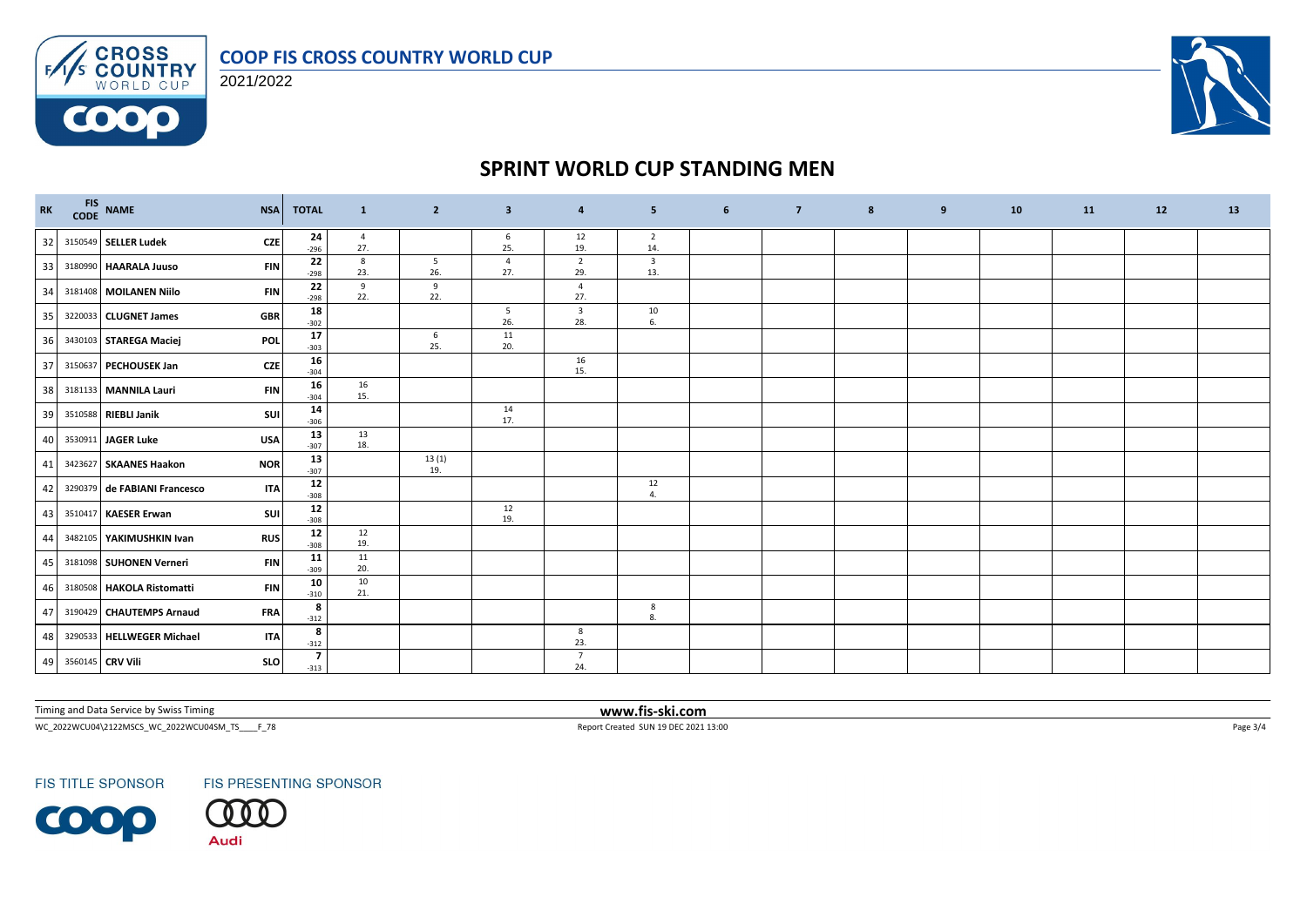

**CROSS**<br>**COUNTRY**<br>WORLD CUP 2021/2022

 $F/1/s$ 

0000



### **SPRINT WORLD CUP STANDING MEN**

| $\mathbf{R}\mathbf{K}$ | FIS NAME<br>CODE NAME                | <b>NSA</b><br><b>TOTAL</b>         | $\mathbf{1}$             | $\overline{2}$         | $\overline{\mathbf{3}}$ | 4                              | 5 <sub>5</sub>                 | 6 | $\overline{7}$ | 8 | 9 | 10 | 11 | 12 | 13 |
|------------------------|--------------------------------------|------------------------------------|--------------------------|------------------------|-------------------------|--------------------------------|--------------------------------|---|----------------|---|---|----|----|----|----|
| 32                     | 3150549 SELLER Ludek                 | 24<br><b>CZE</b><br>$-296$         | $\overline{4}$<br>27.    |                        | 6<br>25.                | 12<br>19.                      | $\overline{2}$<br>14.          |   |                |   |   |    |    |    |    |
| 33                     | 3180990 HAARALA Juuso                | 22<br><b>FIN</b><br>$-298$         | 8<br>23.                 | $5\overline{5}$<br>26. | $\overline{4}$<br>27.   | $\overline{2}$<br>29.          | $\overline{\mathbf{3}}$<br>13. |   |                |   |   |    |    |    |    |
| 34                     | 3181408 MOILANEN Niilo               | $22$<br><b>FIN</b><br>$-298$       | 9<br>22.                 | 9<br>22.               |                         | $\overline{4}$<br>27.          |                                |   |                |   |   |    |    |    |    |
| 35                     | 3220033 CLUGNET James                | 18<br><b>GBR</b><br>$-302$         |                          |                        | 5<br>26.                | $\overline{\mathbf{3}}$<br>28. | 10<br>6.                       |   |                |   |   |    |    |    |    |
| 36                     | 3430103 STAREGA Maciej               | 17<br>POL<br>$-303$                |                          | 6<br>25.               | 11<br>20.               |                                |                                |   |                |   |   |    |    |    |    |
| 37                     | 3150637 PECHOUSEK Jan                | 16<br><b>CZE</b><br>$-304$         |                          |                        |                         | 16<br>15.                      |                                |   |                |   |   |    |    |    |    |
| 38                     | 3181133 MANNILA Lauri                | 16<br><b>FIN</b><br>$-304$         | 16<br>15.                |                        |                         |                                |                                |   |                |   |   |    |    |    |    |
| 39                     | 3510588 RIEBLI Janik                 | 14<br>SUI<br>$-306$                |                          |                        | 14<br>17.               |                                |                                |   |                |   |   |    |    |    |    |
| 40                     | 3530911 JAGER Luke<br><b>USA</b>     | 13<br>$-307$                       | 13<br>18.                |                        |                         |                                |                                |   |                |   |   |    |    |    |    |
| 41                     | 3423627 SKAANES Haakon<br><b>NOR</b> | 13<br>$-307$                       |                          | 13(1)<br>19.           |                         |                                |                                |   |                |   |   |    |    |    |    |
| 42                     | 3290379 de FABIANI Francesco         | 12<br><b>ITA</b><br>$-308$         |                          |                        |                         |                                | 12<br>4.                       |   |                |   |   |    |    |    |    |
| 43                     | 3510417 KAESER Erwan                 | ${\bf 12}$<br><b>SUI</b><br>$-308$ |                          |                        | 12<br>19.               |                                |                                |   |                |   |   |    |    |    |    |
| 44                     | 3482105 YAKIMUSHKIN Ivan             | 12<br><b>RUS</b><br>$-308$         | 12<br>19.                |                        |                         |                                |                                |   |                |   |   |    |    |    |    |
| 45                     | 3181098 SUHONEN Verneri              | 11<br><b>FIN</b><br>$-309$         | 11<br>20.                |                        |                         |                                |                                |   |                |   |   |    |    |    |    |
| 46                     | 3180508 HAKOLA Ristomatti            | 10<br><b>FIN</b><br>$-310$         | 10<br>21.                |                        |                         |                                |                                |   |                |   |   |    |    |    |    |
| 47                     | 3190429 CHAUTEMPS Arnaud             | <b>FRA</b><br>$-312$               | 8                        |                        |                         |                                | 8<br>8.                        |   |                |   |   |    |    |    |    |
| 48                     | 3290533 HELLWEGER Michael            | <b>ITA</b><br>$-312$               | 8                        |                        |                         | 8<br>23.                       |                                |   |                |   |   |    |    |    |    |
| 49                     | 3560145 CRV Vili                     | SLO<br>$-313$                      | $\overline{\phantom{a}}$ |                        |                         | $\overline{7}$<br>24.          |                                |   |                |   |   |    |    |    |    |

Timing and Data Service by Swiss Timing **www.fis-ski.com**

 $WC_2022WCU04\text{2122MSCS\_WC_2022WCU045M_TS_1\_\_F238}\label{eq:WCC202113:00} \textbf{Page 3/4}$